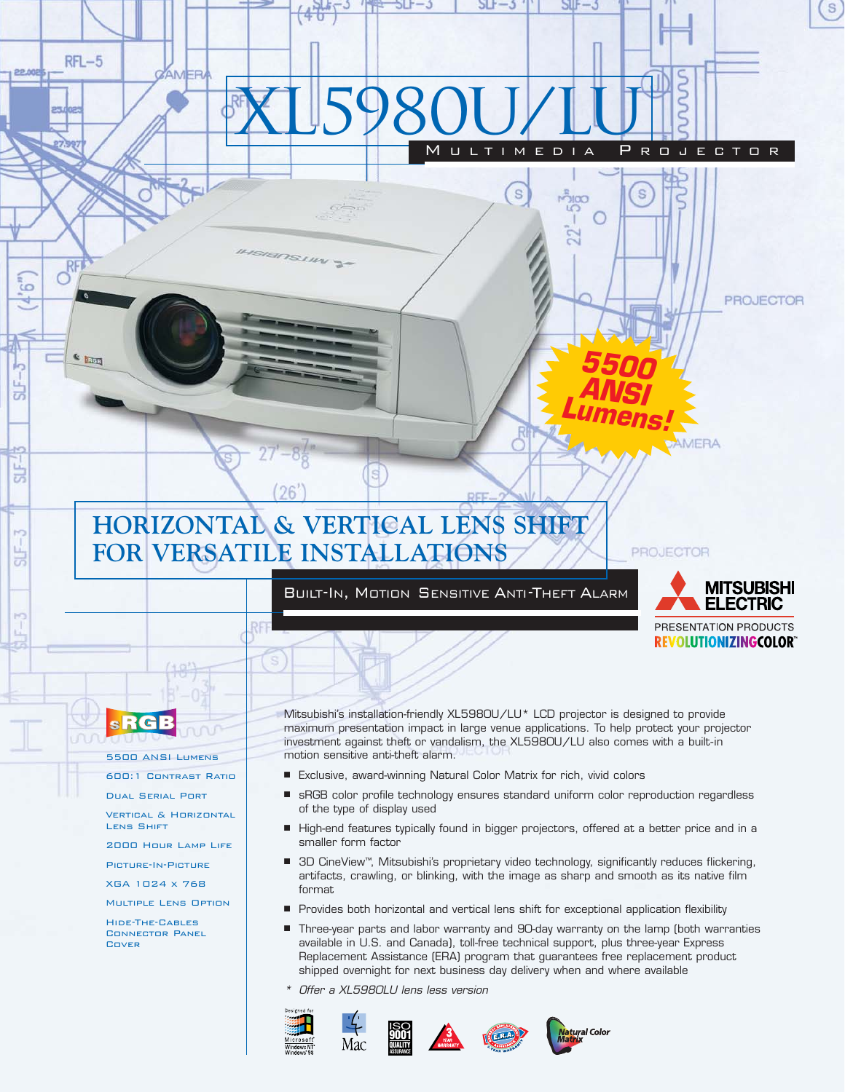# **HORIZONTAL & VERTICAL LENS SHIFT FOR VERSATILE INSTALLATIONS**

SOSLIN<sub>S</sub>

 $(26)$ 

# BUILT-IN, MOTION SENSITIVE ANTI-THEFT ALARM

XL5980U/LU

MULTIMEDIA PROJECTOR

O

ညီထ LC.

S

S

*5500 ANSI Lumens!*



**REVOLUTIONIZINGCOLOR®** 

AMERA

PROJECTOR

**PROJECTOR** 

S

**sRGB** 

 $RFL-5$ 

 $\frac{R}{C}$ 

**C Liga** 

AMER

22.00

 $6^{\circ}$ ٩

 $SIF-$ 

 $\overline{u}$ 

SLF.

5500 ANSI Lumens

600:1 Contrast Ratio

Dual Serial Port

Vertical & Horizontal Lens Shift

2000 Hour Lamp Life

Picture-In-Picture

XGA 1024 x 768

Multiple Lens Option

Hide-The-Cables Connector Panel Cover

Mitsubishi's installation-friendly XL5980U/LU\* LCD projector is designed to provide maximum presentation impact in large venue applications. To help protect your projector investment against theft or vandalism, the XL5980U/LU also comes with a built-in motion sensitive anti-theft alarm.

- Exclusive, award-winning Natural Color Matrix for rich, vivid colors
- sRGB color profile technology ensures standard uniform color reproduction regardless of the type of display used
- High-end features typically found in bigger projectors, offered at a better price and in a smaller form factor
- 3D CineView™, Mitsubishi's proprietary video technology, significantly reduces flickering, artifacts, crawling, or blinking, with the image as sharp and smooth as its native film format
- Provides both horizontal and vertical lens shift for exceptional application flexibility
- Three-year parts and labor warranty and 90-day warranty on the lamp (both warranties available in U.S. and Canada), toll-free technical support, plus three-year Express Replacement Assistance (ERA) program that guarantees free replacement product shipped overnight for next business day delivery when and where available
- \*Offer a XL5980LU lens less version